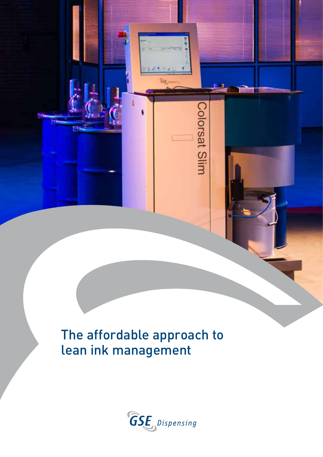The affordable approach to lean ink management



**Colorsat Slim**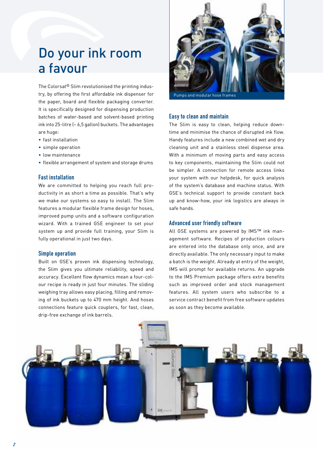# Do your ink room a favour

The Colorsat® Slim revolutionised the printing industry, by offering the first affordable ink dispenser for the paper, board and flexible packaging converter. It is specifically designed for dispensing production batches of water-based and solvent-based printing ink into 25-litre (~ 6,5 gallon) buckets. The advantages are huge:

- fast installation
- simple operation
- low maintenance
- flexible arrangement of system and storage drums

## Fast installation

We are committed to helping you reach full productivity in as short a time as possible. That's why we make our systems so easy to install. The Slim features a modular flexible frame design for hoses, improved pump units and a software configuration wizard. With a trained GSE engineer to set your system up and provide full training, your Slim is fully operational in just two days.

### Simple operation

Built on GSE's proven ink dispensing technology, the Slim gives you ultimate reliability, speed and accuracy. Excellent flow dynamics mean a four-colour recipe is ready in just four minutes. The sliding weighing tray allows easy placing, filling and removing of ink buckets up to 470 mm height. And hoses connections feature quick couplers, for fast, clean, drip-free exchange of ink barrels.



### Easy to clean and maintain

The Slim is easy to clean, helping reduce downtime and minimise the chance of disrupted ink flow. Handy features include a new combined wet and dry cleaning unit and a stainless steel dispense area. With a minimum of moving parts and easy access to key components, maintaining the Slim could not be simpler. A connection for remote access links your system with our helpdesk, for quick analysis of the system's database and machine status. With GSE's technical support to provide constant back up and know-how, your ink logistics are always in safe hands.

#### Advanced user friendly software

All GSE systems are powered by IMS™ ink management software. Recipes of production colours are entered into the database only once, and are directly available. The only necessary input to make a batch is the weight. Already at entry of the weight, IMS will prompt for available returns. An upgrade to the IMS Premium package offers extra benefits such as improved order and stock management features. All system users who subscribe to a service contract benefit from free software updates as soon as they become available.

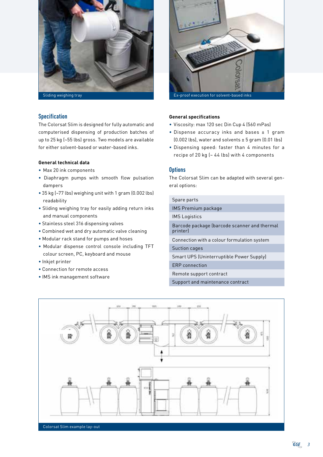

### Specification

The Colorsat Slim is designed for fully automatic and computerised dispensing of production batches of up to 25 kg (~55 lbs) gross. Two models are available for either solvent-based or water-based inks.

#### **General technical data**

- Max 20 ink components
- Diaphragm pumps with smooth flow pulsation dampers
- 35 kg (~77 lbs) weighing unit with 1 gram (0.002 lbs) readability
- Sliding weighing tray for easily adding return inks and manual components
- Stainless steel 316 dispensing valves
- Combined wet and dry automatic valve cleaning
- Modular rack stand for pumps and hoses
- Modular dispense control console including TFT colour screen, PC, keyboard and mouse
- Inkjet printer
- Connection for remote access
- IMS ink management software



#### **General specifications**

- Viscosity: max 120 sec Din Cup 4 (560 mPas)
- Dispense accuracy inks and bases ± 1 gram (0.002 lbs), water and solvents ± 5 gram (0.01 lbs)
- Dispensing speed: faster than 4 minutes for a recipe of 20 kg (~ 44 lbs) with 4 components

#### **Options**

The Colorsat Slim can be adapted with several general options:

Spare parts

IMS Premium package

IMS Logistics

Barcode package (barcode scanner and thermal printer)

Connection with a colour formulation system

Suction cages

Smart UPS (Uninterruptible Power Supply)

ERP connection

Remote support contract

Support and maintenance contract



Colorsat Slim example lay-out